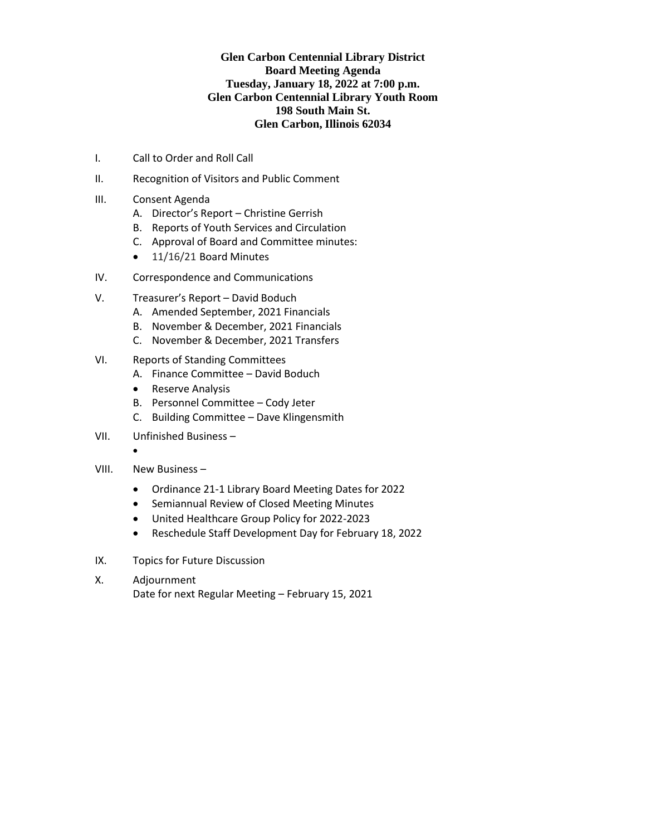# **Glen Carbon Centennial Library District Board Meeting Agenda Tuesday, January 18, 2022 at 7:00 p.m. Glen Carbon Centennial Library Youth Room 198 South Main St. Glen Carbon, Illinois 62034**

- I. Call to Order and Roll Call
- II. Recognition of Visitors and Public Comment
- III. Consent Agenda
	- A. Director's Report Christine Gerrish
	- B. Reports of Youth Services and Circulation
	- C. Approval of Board and Committee minutes:
	- 11/16/21 Board Minutes
- IV. Correspondence and Communications
- V. Treasurer's Report David Boduch
	- A. Amended September, 2021 Financials
	- B. November & December, 2021 Financials
	- C. November & December, 2021 Transfers
- VI. Reports of Standing Committees
	- A. Finance Committee David Boduch
	- Reserve Analysis
	- B. Personnel Committee Cody Jeter
	- C. Building Committee Dave Klingensmith
- VII. Unfinished Business
	- •
- VIII. New Business
	- Ordinance 21-1 Library Board Meeting Dates for 2022
	- Semiannual Review of Closed Meeting Minutes
	- United Healthcare Group Policy for 2022-2023
	- Reschedule Staff Development Day for February 18, 2022
- IX. Topics for Future Discussion
- X. Adjournment
	- Date for next Regular Meeting February 15, 2021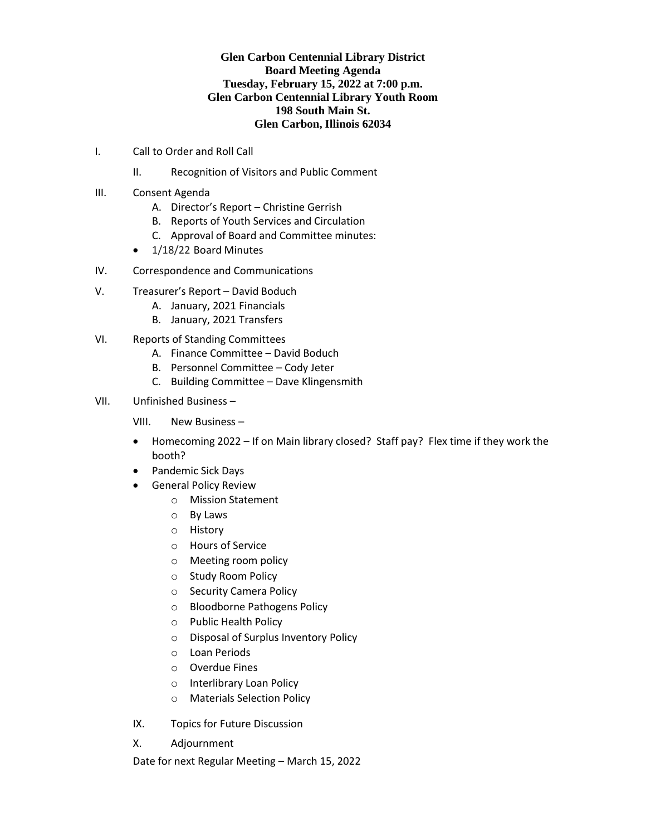# **Glen Carbon Centennial Library District Board Meeting Agenda Tuesday, February 15, 2022 at 7:00 p.m. Glen Carbon Centennial Library Youth Room 198 South Main St. Glen Carbon, Illinois 62034**

- I. Call to Order and Roll Call
	- II. Recognition of Visitors and Public Comment
- III. Consent Agenda
	- A. Director's Report Christine Gerrish
	- B. Reports of Youth Services and Circulation
	- C. Approval of Board and Committee minutes:
	- 1/18/22 Board Minutes
- IV. Correspondence and Communications
- V. Treasurer's Report David Boduch
	- A. January, 2021 Financials
	- B. January, 2021 Transfers
- VI. Reports of Standing Committees
	- A. Finance Committee David Boduch
	- B. Personnel Committee Cody Jeter
	- C. Building Committee Dave Klingensmith

# VII. Unfinished Business –

VIII. New Business –

- Homecoming 2022 If on Main library closed? Staff pay? Flex time if they work the booth?
- Pandemic Sick Days
- General Policy Review
	- o Mission Statement
	- o By Laws
	- o History
	- o Hours of Service
	- o Meeting room policy
	- o Study Room Policy
	- o Security Camera Policy
	- o Bloodborne Pathogens Policy
	- o Public Health Policy
	- o Disposal of Surplus Inventory Policy
	- o Loan Periods
	- o Overdue Fines
	- o Interlibrary Loan Policy
	- o Materials Selection Policy
- IX. Topics for Future Discussion
- X. Adjournment

Date for next Regular Meeting – March 15, 2022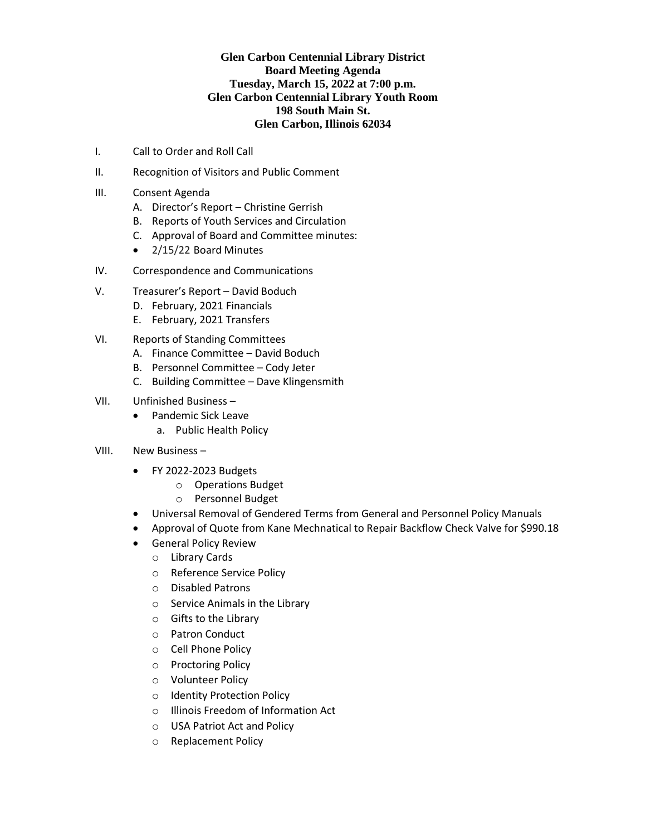# **Glen Carbon Centennial Library District Board Meeting Agenda Tuesday, March 15, 2022 at 7:00 p.m. Glen Carbon Centennial Library Youth Room 198 South Main St. Glen Carbon, Illinois 62034**

- I. Call to Order and Roll Call
- II. Recognition of Visitors and Public Comment
- III. Consent Agenda
	- A. Director's Report Christine Gerrish
	- B. Reports of Youth Services and Circulation
	- C. Approval of Board and Committee minutes:
	- 2/15/22 Board Minutes
- IV. Correspondence and Communications
- V. Treasurer's Report David Boduch
	- D. February, 2021 Financials
	- E. February, 2021 Transfers
- VI. Reports of Standing Committees
	- A. Finance Committee David Boduch
	- B. Personnel Committee Cody Jeter
	- C. Building Committee Dave Klingensmith
- VII. Unfinished Business
	- Pandemic Sick Leave a. Public Health Policy
- VIII. New Business
	- FY 2022-2023 Budgets
		- o Operations Budget
			- o Personnel Budget
	- Universal Removal of Gendered Terms from General and Personnel Policy Manuals
	- Approval of Quote from Kane Mechnatical to Repair Backflow Check Valve for \$990.18
	- General Policy Review
		- o Library Cards
		- o Reference Service Policy
		- o Disabled Patrons
		- o Service Animals in the Library
		- o Gifts to the Library
		- o Patron Conduct
		- o Cell Phone Policy
		- o Proctoring Policy
		- o Volunteer Policy
		- o Identity Protection Policy
		- o Illinois Freedom of Information Act
		- o USA Patriot Act and Policy
		- o Replacement Policy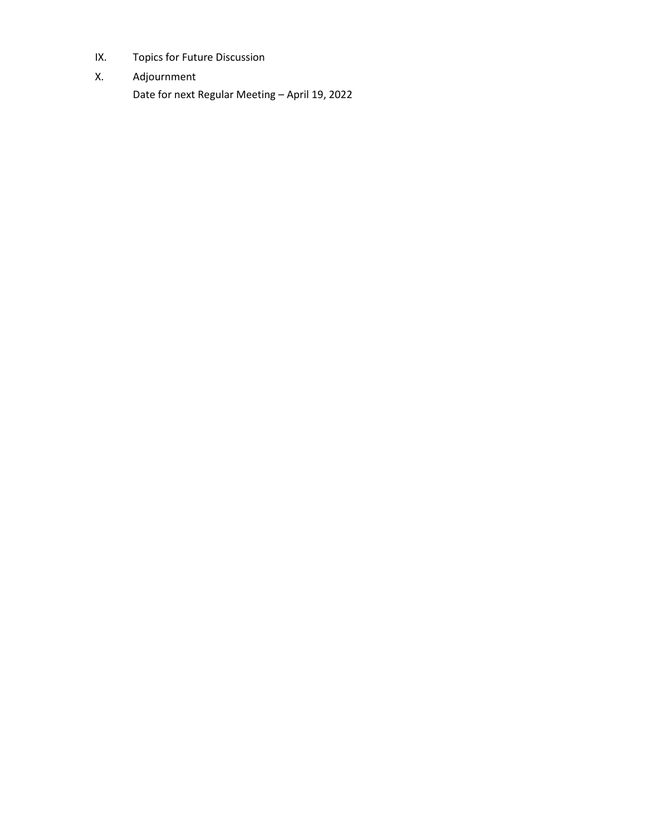- IX. Topics for Future Discussion
- X. Adjournment Date for next Regular Meeting – April 19, 2022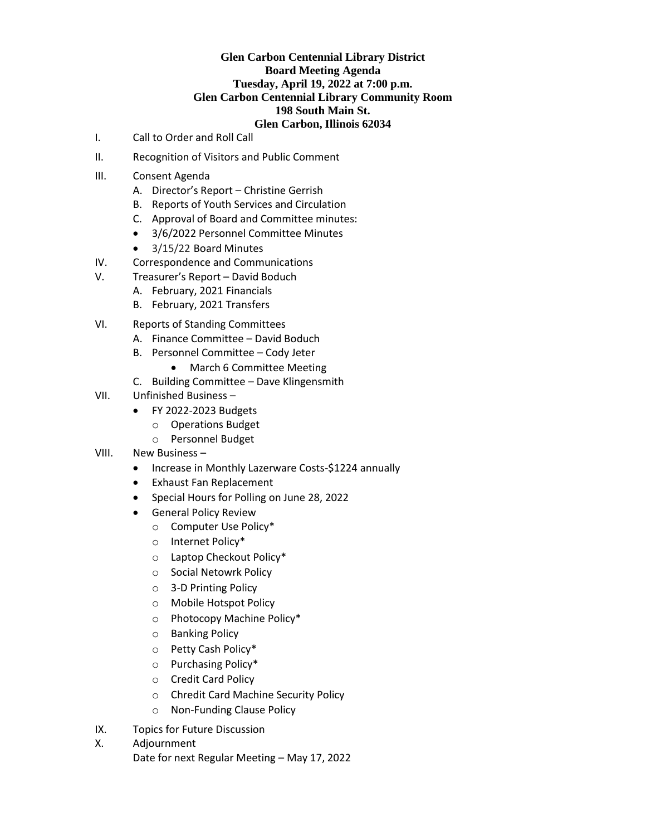#### **Glen Carbon Centennial Library District Board Meeting Agenda Tuesday, April 19, 2022 at 7:00 p.m. Glen Carbon Centennial Library Community Room 198 South Main St. Glen Carbon, Illinois 62034**

- I. Call to Order and Roll Call
- II. Recognition of Visitors and Public Comment
- III. Consent Agenda
	- A. Director's Report Christine Gerrish
	- B. Reports of Youth Services and Circulation
	- C. Approval of Board and Committee minutes:
	- 3/6/2022 Personnel Committee Minutes
	- 3/15/22 Board Minutes
- IV. Correspondence and Communications
- V. Treasurer's Report David Boduch
	- A. February, 2021 Financials
	- B. February, 2021 Transfers
- VI. Reports of Standing Committees
	- A. Finance Committee David Boduch
	- B. Personnel Committee Cody Jeter
		- March 6 Committee Meeting
	- C. Building Committee Dave Klingensmith
- VII. Unfinished Business
	- FY 2022-2023 Budgets
		- o Operations Budget
		- o Personnel Budget
- VIII. New Business
	- Increase in Monthly Lazerware Costs-\$1224 annually
	- Exhaust Fan Replacement
	- Special Hours for Polling on June 28, 2022
	- General Policy Review
		- o Computer Use Policy\*
		- o Internet Policy\*
		- o Laptop Checkout Policy\*
		- o Social Netowrk Policy
		- o 3-D Printing Policy
		- o Mobile Hotspot Policy
		- o Photocopy Machine Policy\*
		- o Banking Policy
		- o Petty Cash Policy\*
		- o Purchasing Policy\*
		- o Credit Card Policy
		- o Chredit Card Machine Security Policy
		- o Non-Funding Clause Policy
- IX. Topics for Future Discussion
- X. Adjournment
	- Date for next Regular Meeting May 17, 2022